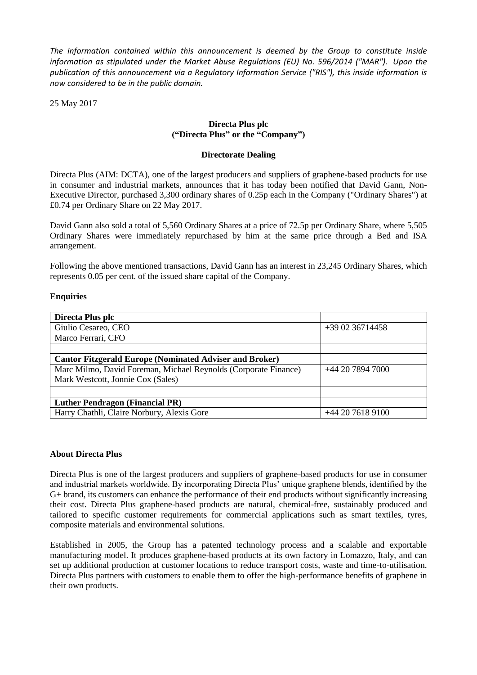*The information contained within this announcement is deemed by the Group to constitute inside information as stipulated under the Market Abuse Regulations (EU) No. 596/2014 ("MAR"). Upon the publication of this announcement via a Regulatory Information Service ("RIS"), this inside information is now considered to be in the public domain.*

25 May 2017

# **Directa Plus plc ("Directa Plus" or the "Company")**

#### **Directorate Dealing**

Directa Plus (AIM: DCTA), one of the largest producers and suppliers of graphene-based products for use in consumer and industrial markets, announces that it has today been notified that David Gann, Non-Executive Director, purchased 3,300 ordinary shares of 0.25p each in the Company ("Ordinary Shares") at £0.74 per Ordinary Share on 22 May 2017.

David Gann also sold a total of 5,560 Ordinary Shares at a price of 72.5p per Ordinary Share, where 5,505 Ordinary Shares were immediately repurchased by him at the same price through a Bed and ISA arrangement.

Following the above mentioned transactions, David Gann has an interest in 23,245 Ordinary Shares, which represents 0.05 per cent. of the issued share capital of the Company.

### **Enquiries**

| Directa Plus plc                                                |                  |
|-----------------------------------------------------------------|------------------|
| Giulio Cesareo, CEO                                             | $+390236714458$  |
| Marco Ferrari, CFO                                              |                  |
|                                                                 |                  |
| <b>Cantor Fitzgerald Europe (Nominated Adviser and Broker)</b>  |                  |
| Marc Milmo, David Foreman, Michael Reynolds (Corporate Finance) | +44 20 7894 7000 |
| Mark Westcott, Jonnie Cox (Sales)                               |                  |
|                                                                 |                  |
| <b>Luther Pendragon (Financial PR)</b>                          |                  |
| Harry Chathli, Claire Norbury, Alexis Gore                      | +44 20 7618 9100 |

### **About Directa Plus**

Directa Plus is one of the largest producers and suppliers of graphene-based products for use in consumer and industrial markets worldwide. By incorporating Directa Plus' unique graphene blends, identified by the G+ brand, its customers can enhance the performance of their end products without significantly increasing their cost. Directa Plus graphene-based products are natural, chemical-free, sustainably produced and tailored to specific customer requirements for commercial applications such as smart textiles, tyres, composite materials and environmental solutions.

Established in 2005, the Group has a patented technology process and a scalable and exportable manufacturing model. It produces graphene-based products at its own factory in Lomazzo, Italy, and can set up additional production at customer locations to reduce transport costs, waste and time-to-utilisation. Directa Plus partners with customers to enable them to offer the high-performance benefits of graphene in their own products.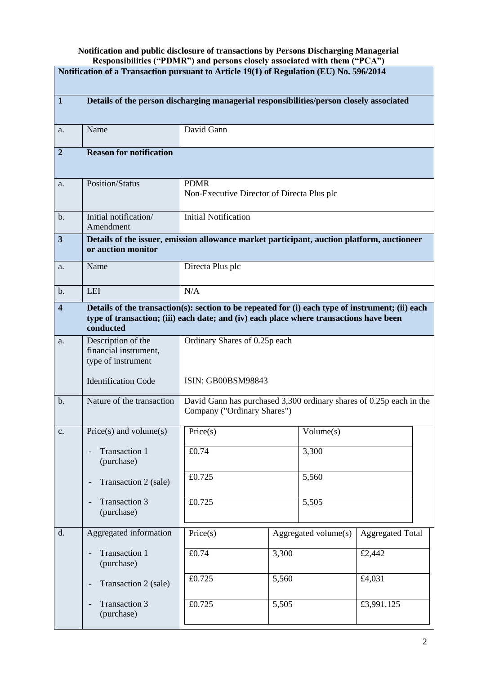## **Notification and public disclosure of transactions by Persons Discharging Managerial Responsibilities ("PDMR") and persons closely associated with them ("PCA")**

| $\kappa$ responsibilities ( $\kappa$ f D $\kappa$ f and persons closely associated with them ( $\kappa$ f $\kappa$ )<br>Notification of a Transaction pursuant to Article 19(1) of Regulation (EU) No. 596/2014 |                                                                                                                                                                                                         |                                                                                                    |                      |           |                         |
|-----------------------------------------------------------------------------------------------------------------------------------------------------------------------------------------------------------------|---------------------------------------------------------------------------------------------------------------------------------------------------------------------------------------------------------|----------------------------------------------------------------------------------------------------|----------------------|-----------|-------------------------|
| $\mathbf{1}$                                                                                                                                                                                                    | Details of the person discharging managerial responsibilities/person closely associated                                                                                                                 |                                                                                                    |                      |           |                         |
| a.                                                                                                                                                                                                              | Name                                                                                                                                                                                                    | David Gann                                                                                         |                      |           |                         |
| $\overline{2}$                                                                                                                                                                                                  | <b>Reason for notification</b>                                                                                                                                                                          |                                                                                                    |                      |           |                         |
| a.                                                                                                                                                                                                              | <b>Position/Status</b>                                                                                                                                                                                  | <b>PDMR</b><br>Non-Executive Director of Directa Plus plc                                          |                      |           |                         |
| b.                                                                                                                                                                                                              | Initial notification/<br>Amendment                                                                                                                                                                      | <b>Initial Notification</b>                                                                        |                      |           |                         |
| $\overline{\mathbf{3}}$                                                                                                                                                                                         | Details of the issuer, emission allowance market participant, auction platform, auctioneer<br>or auction monitor                                                                                        |                                                                                                    |                      |           |                         |
| a.                                                                                                                                                                                                              | Name                                                                                                                                                                                                    | Directa Plus plc                                                                                   |                      |           |                         |
| $b$ .                                                                                                                                                                                                           | <b>LEI</b>                                                                                                                                                                                              | N/A                                                                                                |                      |           |                         |
| $\overline{\mathbf{4}}$                                                                                                                                                                                         | Details of the transaction(s): section to be repeated for (i) each type of instrument; (ii) each<br>type of transaction; (iii) each date; and (iv) each place where transactions have been<br>conducted |                                                                                                    |                      |           |                         |
| a.                                                                                                                                                                                                              | Description of the<br>financial instrument,<br>type of instrument                                                                                                                                       | Ordinary Shares of 0.25p each                                                                      |                      |           |                         |
|                                                                                                                                                                                                                 | <b>Identification Code</b>                                                                                                                                                                              | ISIN: GB00BSM98843                                                                                 |                      |           |                         |
| $\mathbf{b}$ .                                                                                                                                                                                                  | Nature of the transaction                                                                                                                                                                               | David Gann has purchased 3,300 ordinary shares of 0.25p each in the<br>Company ("Ordinary Shares") |                      |           |                         |
| c.                                                                                                                                                                                                              | $Price(s)$ and volume $(s)$                                                                                                                                                                             | Price(s)                                                                                           |                      | Volume(s) |                         |
|                                                                                                                                                                                                                 | <b>Transaction 1</b><br>(purchase)                                                                                                                                                                      | £0.74                                                                                              |                      | 3,300     |                         |
|                                                                                                                                                                                                                 | Transaction 2 (sale)                                                                                                                                                                                    | £0.725                                                                                             |                      | 5,560     |                         |
|                                                                                                                                                                                                                 | <b>Transaction 3</b><br>(purchase)                                                                                                                                                                      | £0.725                                                                                             |                      | 5,505     |                         |
| d.                                                                                                                                                                                                              | Aggregated information                                                                                                                                                                                  | Price(s)                                                                                           | Aggregated volume(s) |           | <b>Aggregated Total</b> |
|                                                                                                                                                                                                                 | <b>Transaction 1</b><br>(purchase)                                                                                                                                                                      | £0.74                                                                                              | 3,300                |           | £2,442                  |
|                                                                                                                                                                                                                 | Transaction 2 (sale)                                                                                                                                                                                    | £0.725                                                                                             | 5,560                |           | £4,031                  |
|                                                                                                                                                                                                                 | <b>Transaction 3</b><br>(purchase)                                                                                                                                                                      | £0.725                                                                                             | 5,505                |           | £3,991.125              |